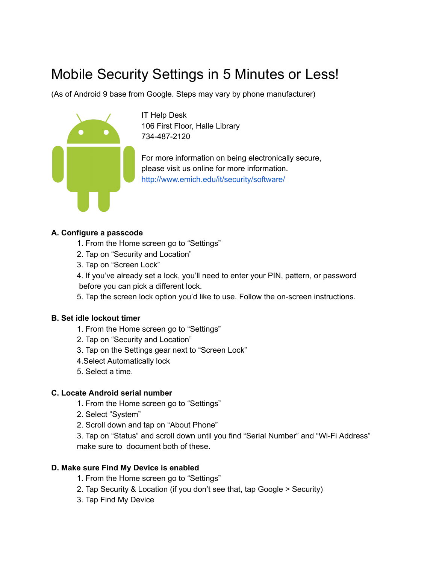# Mobile Security Settings in 5 Minutes or Less!

(As of Android 9 base from Google. Steps may vary by phone manufacturer)



IT Help Desk 106 First Floor, Halle Library 734-487-2120

For more information on being electronically secure, please visit us online for more information. http://www.emich.edu/it/security/software/

#### **A. Configure a passcode**

- 1. From the Home screen go to "Settings"
- 2. Tap on "Security and Location"
- 3. Tap on "Screen Lock"

4. If you've already set a lock, you'll need to enter your PIN, pattern, or password before you can pick a different lock.

5. Tap the screen lock option you'd like to use. Follow the on-screen instructions.

#### **B. Set idle lockout timer**

- 1. From the Home screen go to "Settings"
- 2. Tap on "Security and Location"
- 3. Tap on the Settings gear next to "Screen Lock"
- 4.Select Automatically lock
- 5. Select a time.

#### **C. Locate Android serial number**

- 1. From the Home screen go to "Settings"
- 2. Select "System"
- 2. Scroll down and tap on "About Phone"

3. Tap on "Status" and scroll down until you find "Serial Number" and "Wi-Fi Address" make sure to document both of these.

#### **D. Make sure Find My Device is enabled**

- 1. From the Home screen go to "Settings"
- 2. Tap Security & Location (if you don't see that, tap Google > Security)
- 3. Tap Find My Device